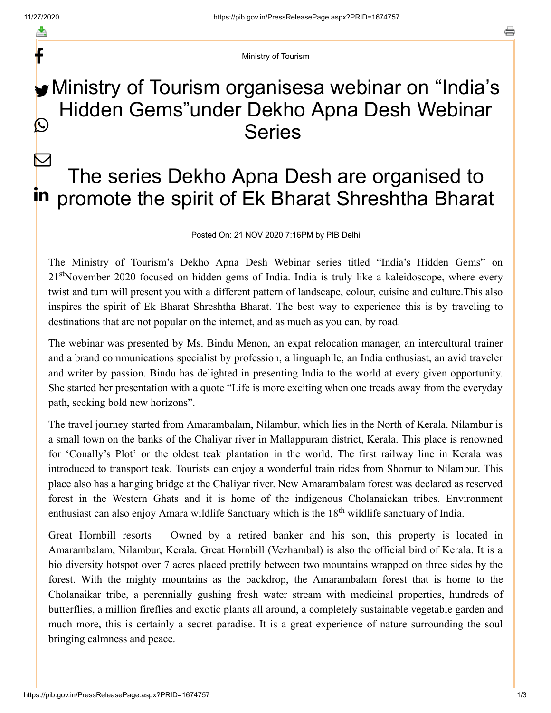f

 $\triangleright$ 

a

Ministry of Tourism

## **Ministry of Tourism organisesa webinar on "India's** Hidden Gems"under Dekho Apna Desh Webinar Series  $\mathbf{\Omega}$

## The series Dekho Apna Desh are organised to in promote the spirit of Ek Bharat Shreshtha Bharat

## Posted On: 21 NOV 2020 7:16PM by PIB Delhi

The Ministry of Tourism's Dekho Apna Desh Webinar series titled "India's Hidden Gems" on 21<sup>st</sup>November 2020 focused on hidden gems of India. India is truly like a kaleidoscope, where every twist and turn will present you with a different pattern of landscape, colour, cuisine and culture.This also inspires the spirit of Ek Bharat Shreshtha Bharat. The best way to experience this is by traveling to destinations that are not popular on the internet, and as much as you can, by road.

The webinar was presented by Ms. Bindu Menon, an expat relocation manager, an intercultural trainer and a brand communications specialist by profession, a linguaphile, an India enthusiast, an avid traveler and writer by passion. Bindu has delighted in presenting India to the world at every given opportunity. She started her presentation with a quote "Life is more exciting when one treads away from the everyday path, seeking bold new horizons".

The travel journey started from Amarambalam, Nilambur, which lies in the North of Kerala. Nilambur is a small town on the banks of the Chaliyar river in Mallappuram district, Kerala. This place is renowned for 'Conally's Plot' or the oldest teak plantation in the world. The first railway line in Kerala was introduced to transport teak. Tourists can enjoy a wonderful train rides from Shornur to Nilambur. This place also has a hanging bridge at the Chaliyar river. New Amarambalam forest was declared as reserved forest in the Western Ghats and it is home of the indigenous Cholanaickan tribes. Environment enthusiast can also enjoy Amara wildlife Sanctuary which is the 18<sup>th</sup> wildlife sanctuary of India.

Great Hornbill resorts – Owned by a retired banker and his son, this property is located in Amarambalam, Nilambur, Kerala. Great Hornbill (Vezhambal) is also the official bird of Kerala. It is a bio diversity hotspot over 7 acres placed prettily between two mountains wrapped on three sides by the forest. With the mighty mountains as the backdrop, the Amarambalam forest that is home to the Cholanaikar tribe, a perennially gushing fresh water stream with medicinal properties, hundreds of butterflies, a million fireflies and exotic plants all around, a completely sustainable vegetable garden and much more, this is certainly a secret paradise. It is a great experience of nature surrounding the soul bringing calmness and peace.